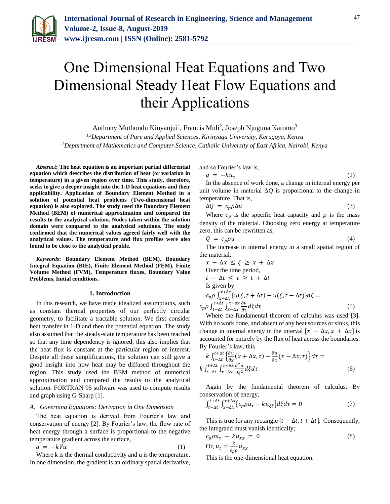

# One Dimensional Heat Equations and Two Dimensional Steady Heat Flow Equations and their Applications

Anthony Muthondu Kinyanjui<sup>1</sup>, Francis Muli<sup>2</sup>, Joseph Njuguna Karomo<sup>3</sup>

*1,3Department of Pure and Applied Sciences, Kirinyaga University, Kerugoya, Kenya*

*2Department of Mathematics and Computer Science, Catholic University of East Africa, Nairobi, Kenya*

*Abstract***: The heat equation is an important partial differential equation which describes the distribution of heat (or variation in temperature) in a given region over time. This study, therefore, seeks to give a deeper insight into the 1-D heat equations and their applicability. Application of Boundary Element Method in a solution of potential heat problems (Two-dimensional heat equation) is also explored. The study used the Boundary Element Method (BEM) of numerical approximation and compared the results to the analytical solution. Nodes taken within the solution domain were compared to the analytical solutions. The study confirmed that the numerical values agreed fairly well with the analytical values. The temperature and flux profiles were also found to be close to the analytical profile.**

*Keywords***: Boundary Element Method (BEM), Boundary Integral Equation (BIE), Finite Element Method (FEM), Finite Volume Method (FVM), Temperature fluxes, Boundary Value Problems, Initial conditions.**

#### **1. Introduction**

In this research, we have made idealized assumptions, such as constant thermal properties of our perfectly circular geometry, to facilitate a tractable solution. We first consider heat transfer in 1-D and then the potential equation. The study also assumed that the steady-state temperature has been reached so that any time dependency is ignored; this also implies that the heat flux is constant at the particular region of interest. Despite all these simplifications, the solution can still give a good insight into how heat may be diffused throughout the region. This study used the BEM method of numerical approximation and compared the results to the analytical solution. FORTRAN 95 software was used to compute results and graph using G-Sharp [1].

## *A. Governing Equations: Derivation in One Dimension*

The heat equation is derived from Fourier's law and conservation of energy [2]. By Fourier's law, the flow rate of heat energy through a surface is proportional to the negative temperature gradient across the surface,

$$
q = -k \nabla u \tag{1}
$$

Where k is the thermal conductivity and u is the temperature. In one dimension, the gradient is an ordinary spatial derivative,

and so Fourier's law is,

 $q = -ku_x$  (2)

In the absence of work done, a change in internal energy per unit volume in material ∆*Q* is proportional to the change in temperature. That is,

$$
\Delta Q = c_p \rho \Delta u \tag{3}
$$

Where  $c_p$  is the specific heat capacity and  $\rho$  is the mass density of the material. Choosing zero energy at temperature zero, this can be rewritten as,

$$
Q = c_p \rho u \tag{4}
$$

The increase in internal energy in a small spatial region of the material.

$$
x - \Delta x \le \xi \ge x + \Delta x
$$
  
\nOver the time period,  
\n
$$
t - \Delta t \le \tau \ge t + \Delta t
$$
  
\nIs given by  
\n
$$
c_p \rho \int_{x - \Delta x}^{x + \Delta x} \{u(\xi, t + \Delta t) - u(\xi, t - \Delta t)\} d\xi =
$$
  
\n
$$
c_p \rho \int_{t - \Delta t}^{t + \Delta t} \int_{x - \Delta x}^{x + \Delta x} \frac{\partial u}{\partial t} d\xi d\tau
$$
\n(5)

Where the fundamental theorem of calculus was used [3]. With no work done, and absent of any heat sources or sinks, this change in internal energy in the interval  $[x - \Delta x, x + \Delta x]$  is accounted for entirely by the flux of heat across the boundaries. By Fourier's law, this

$$
k \int_{t-\Delta t}^{t+\Delta t} \left\{ \frac{\partial u}{\partial x} (x + \Delta x, \tau) - \frac{\partial u}{\partial x} (x - \Delta x, \tau) \right\} d\tau =
$$
  
\n
$$
k \int_{t-\Delta t}^{t+\Delta t} \int_{x-\Delta x}^{x+\Delta x} \frac{\partial^2 u}{\partial \xi^2} d\xi d\tau
$$
 (6)

Again by the fundamental theorem of calculus. By conservation of energy,

$$
\int_{t-\Delta t}^{t+\Delta t} \int_{x-\Delta x}^{x+\Delta x} \{c_p \rho u_\tau - k u_{\xi\xi}\} d\xi d\tau = 0 \tag{7}
$$

This is true for any rectangle  $[t - \Delta t, t + \Delta t]$ . Consequently, the integrand must vanish identically;

$$
c_p \rho u_\tau - k u_{xx} = 0
$$
  
Or, 
$$
u_t = \frac{k}{c_p \rho} u_{xx}
$$
 (8)

This is the one-dimensional heat equation.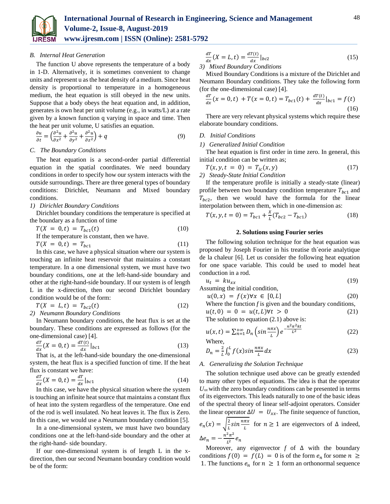

*B. Internal Heat Generation*

The function U above represents the temperature of a body in 1-D. Alternatively, it is sometimes convenient to change units and represent u as the heat density of a medium. Since heat density is proportional to temperature in a homogeneous medium, the heat equation is still obeyed in the new units. Suppose that a body obeys the heat equation and, in addition, generates is own heat per unit volume (e.g., in watts/L) at a rate given by a known function q varying in space and time. Then the heat per unit volume, U satisfies an equation.

$$
\frac{\partial u}{\partial t} = \left(\frac{\partial^2 u}{\partial x^2} + \frac{\partial^2 u}{\partial y^2} + \frac{\partial^2 u}{\partial z^2}\right) + q
$$
\n(9)

#### *C. The Boundary Conditions*

The heat equation is a second-order partial differential equation in the spatial coordinates. We need boundary conditions in order to specify how our system interacts with the outside surroundings. There are three general types of boundary conditions: Dirichlet, Neumann and Mixed boundary conditions.

# *1) Dirichlet Boundary Conditions*

Dirichlet boundary conditions the temperature is specified at the boundary as a function of time

$$
T(X = 0, t) = T_{bc1}(t)
$$
\nIf the temperature is constant, then we have.

\n
$$
T(X = 0, t) = T_{bc1}
$$
\n(11)

In this case, we have a physical situation where our system is touching an infinite heat reservoir that maintains a constant temperature. In a one dimensional system, we must have two boundary conditions, one at the left-hand-side boundary and other at the right-hand-side boundary. If our system is of length L in the x-direction, then our second Dirichlet boundary condition would be of the form:

$$
T(X = L, t) = T_{bc2}(t)
$$
\n
$$
2) Neumann Boundary Conditions
$$
\n(12)

In Neumann boundary conditions, the heat flux is set at the boundary. These conditions are expressed as follows (for the one-dimensional case) [4].

$$
\frac{dT}{dx}(X = 0, t) = \frac{dT(t)}{dx}|_{bc1}
$$
 (13)

That is, at the left-hand-side boundary the one-dimensional system, the heat flux is a specified function of time. If the heat flux is constant we have:

$$
\frac{dT}{dx}(X=0,t) = \frac{dT}{dx}|_{bc1}
$$
\n(14)

In this case, we have the physical situation where the system is touching an infinite heat source that maintains a constant flux of heat into the system regardless of the temperature. One end of the rod is well insulated. No heat leaves it. The flux is Zero. In this case, we would use a Neumann boundary condition [5].

In a one-dimensional system, we must have two boundary conditions one at the left-hand-side boundary and the other at the right-hand- side boundary.

If our one-dimensional system is of length L in the xdirection, then our second Neumann boundary condition would be of the form:

$$
\frac{dT}{dx}(X=L,t) = \frac{dT(t)}{dx}|_{bc2}
$$
\n(15)

## *3) Mixed Boundary Conditions*

Mixed Boundary Conditions is a mixture of the Dirichlet and Neumann Boundary conditions. They take the following form (for the one-dimensional case) [4].

$$
\frac{dT}{dx}(x=0,t) + T(x=0,t) = T_{bc1}(t) + \frac{dT(t)}{dx}|_{bc1} = f(t)
$$
\n(16)

There are very relevant physical systems which require these elaborate boundary conditions.

## *D. Initial Conditions*

#### *1) Generalized Initial Condition*

The heat equation is first order in time zero. In general, this initial condition can be written as;

$$
T(x, y, t = 0) = T_{ic}(x, y)
$$
  
(17)  
2) Steady-State Initial Condition

If the temperature profile is initially a steady-state (linear) profile between two boundary condition temperature  $T_{bc1}$  and  $T_{bc2}$ , then we would have the formula for the linear interpolation between them, which in one-dimension as:

$$
T(x, y, t = 0) = T_{bc1} + \frac{x}{L}(T_{bc2} - T_{bc1})
$$
\n(18)

## **2. Solutions using Fourier series**

The following solution technique for the heat equation was proposed by Joseph Fourier in his treatise th´eorie analytique de la chaleur [6]. Let us consider the following heat equation for one space variable. This could be used to model heat conduction in a rod.

$$
u_t = k u_{xx} \tag{19}
$$

Assuming the initial condition,

$$
u(0,x) = f(x)\forall x \in [0,L] \tag{20}
$$

Where the function *f* is given and the boundary conditions,  $u(t, 0) = 0 = u(t, L) \forall t > 0$  (21)

The solution to equation  $(2.1)$  above is:

$$
u(x,t) = \sum_{n=1}^{+\infty} D_n \left(\sin \frac{n\pi x}{L}\right) e^{-\frac{n^2 \pi^2 k t}{L^2}} \tag{22}
$$

Where,

$$
D_n = \frac{2}{L} \int_0^L f(x) \sin \frac{n\pi x}{L} dx \tag{23}
$$

#### *A. Generalizing the Solution Technique*

The solution technique used above can be greatly extended to many other types of equations. The idea is that the operator  $U_{xx}$  with the zero boundary conditions can be presented in terms of its eigenvectors. This leads naturally to one of the basic ideas of the spectral theory of linear self-adjoint operators. Consider the linear operator  $\Delta U = U_{xx}$ . The finite sequence of function,  $e_n(x) = \sqrt{\frac{2}{l}}$  $\frac{2}{L} \sin \frac{n \pi x}{L}$  for  $n \ge 1$  are eigenvectors of  $\Delta$  indeed,

 $Δe_n = -\frac{n^2 \pi^2}{l^2}$  $\frac{n}{L^2}e_n$ Moreover, any eigenvector  $f$  of  $\Delta$  with the boundary conditions  $f(0) = f(L) = 0$  is of the form  $e_n$  for some  $n \ge$ 1. The functions  $e_n$  for  $n \geq 1$  form an orthonormal sequence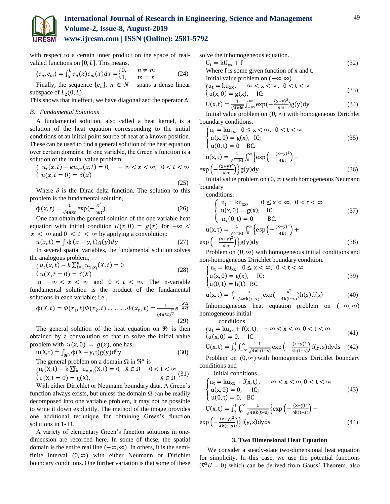

with respect to a certain inner product on the space of realvalued functions on  $[0, L]$ . This means,

$$
\langle e_n, e_m \rangle = \int_0^L e_n(x) e_m(x) dx = \begin{cases} 0, & n \neq m \\ 1, & m = n \end{cases}
$$
 (24)

Finally, the sequence  $\{e_n\}$ ,  $n \in N$  spans a dense linear subspace of  $L_2(0, L)$ .

This shows that in effect, we have diagonalized the operator ∆.

#### *B. Fundamental Solutions*

A fundamental solution, also called a heat kernel, is a solution of the heat equation corresponding to the initial conditions of an initial point source of heat at a known position. These can be used to find a general solution of the heat equation over certain domains; In one variable, the Green's function is a solution of the initial value problem.

$$
\begin{cases}\n u_t(x,t) - ku_{xx}(x,t) = 0, & -\infty < x < \infty, \ 0 < t < \infty \\
 u(x,t=0) = \delta(x)\n\end{cases}
$$

(25) Where  $\delta$  is the Dirac delta function. The solution to this problem is the fundamental solution,

$$
\Phi(x,t) = \frac{1}{\sqrt{4\pi kt}} \exp\left(-\frac{x^2}{4kt}\right) \tag{26}
$$

One can obtain the general solution of the one variable heat equation with initial condition  $U(x, 0) = g(x)$  for  $-\infty <$  $x < \infty$  and  $0 < t < \infty$  by applying a convolution:

$$
u(x,t) = \int \Phi(x-y,t)g(y)dy
$$
 (27)

In several spatial variables, the fundamental solution solves the analogous problem,

$$
\begin{cases} u_t(x,t) - k \sum_{i=1}^n u_{x_ix_i}(X,t) = 0 \\ u(X,t=0) = \delta(X) \end{cases}
$$
 (28)

in  $-\infty < x < \infty$  and  $0 < t < \infty$ . The n-variable fundamental solution is the product of the fundamental solutions in each variable; i.e.,

$$
\Phi(X,t) = \Phi(x_1,t)\Phi(x_2,t) \dots \dots \dots \dots \Phi(x_n,t) = \frac{1}{(4\pi kt)^2} e^{-\frac{XX}{4kt}}
$$
\n(29)

The general solution of the heat equation on  $\mathbb{R}^n$  is then obtained by a convolution so that to solve the initial value problem with  $u(x, 0) = g(x)$ , one has,

$$
u(X, t) = \int_{\Re^n} \Phi(X - y, t) g(y) d^n y \tag{30}
$$

The general problem on a domain  $\Omega$  in  $\mathbb{R}^n$  is

$$
\begin{cases} u_t(X,t) - k \sum_{i=1}^n u_{x_i x_i}(X,t) = 0, & X \in \Omega \quad 0 < t < \infty \\ u(X,t=0) = g(X), & X \in \Omega \end{cases}
$$
 (31)

With either Dirichlet or Neumann boundary data. A Green's function always exists, but unless the domain  $\Omega$  can be readily decomposed into one variable problem, it may not be possible to write it down explicitly. The method of the image provides one additional technique for obtaining Green's function solutions in 1- D.

A variety of elementary Green's function solutions in onedimension are recorded here. In some of these, the spatial domain is the entire real line  $(-\infty, \infty)$ . In others, it is the semifinite interval  $(0, \infty)$  with either Neumann or Dirichlet boundary conditions. One further variation is that some of these solve the inhomogeneous equation.

$$
U_t = kU_{xx} + f
$$
 (32)  
Where f is some given function of x and t.

Initial value problem on 
$$
(-\infty, \infty)
$$

$$
\begin{cases} u_t = ku_{xx}, \ -\infty < x < \infty, \ 0 < t < \infty \\ u(x, 0) = g(x), \quad \text{IC:} \end{cases} \tag{33}
$$

$$
U(x,t) = \frac{1}{\sqrt{4\pi kt}} \int_{-\infty}^{\infty} exp(-\frac{(x-y)^2}{4kt}) g(y) dy
$$
 (34)

Initial value problem on  $(0, \infty)$  with homogeneous Dirichlet boundary conditions.

$$
\begin{cases}\n u_t = ku_{xx}, & 0 \le x < \infty, \ 0 < t < \infty \\
 u(x, 0) = g(x), & IC; \\
 u(0, t) = 0 & BC.\n\end{cases}
$$
\n(35)

$$
u(x,t) = \frac{1}{\sqrt{4\pi kt}} \int_0^\infty \left\{ \exp\left(-\frac{(x-y)^2}{4kt}\right) - \exp\left(-\frac{(x+y)^2}{4kt}\right) \right\} g(y) dy
$$
\n(36)

Initial value problem on  $(0, \infty)$  with homogeneous Neumann boundary

conditions.

$$
\begin{cases}\nu_t = k u_{xx}, & 0 \le x < \infty, \ 0 < t < \infty \\
u(x, 0) = g(x), & IC;\ u_x(0, t) = 0 & BC.\n\end{cases}
$$
\n(37)  
\n
$$
u(x, t) = \frac{1}{\sqrt{4\pi kt}} \int_0^\infty \left\{ \exp\left(-\frac{(x-y)^2}{4kt}\right) + \right\} \right.
$$

$$
u(x,t) = \frac{1}{\sqrt{4\pi kt}} \int_0^\infty \left\{ \exp\left(-\frac{(x-y)^2}{4kt}\right) + \exp\left(-\frac{(x+y)^2}{4kt}\right) \right\} g(y) dy
$$
\n(38)

Problem on  $(0, \infty)$  with homogeneous initial conditions and non-homogeneous Dirichlet boundary condition.

$$
\begin{cases}\n u_t = ku_{xx}, & 0 \le x < \infty, \ 0 < t < \infty \\
 u(x, 0) = g(x), & IC; \\
 u(0, t) = h(t) BC.\n\end{cases}
$$
\n(39)

$$
u(x,t) = \int_0^t \frac{x}{\sqrt{4\pi k(t-s)^3}} exp(-\frac{x^2}{4k(t-s)}) h(s) d(s)
$$
(40)

Inhomogeneous heat equation problem on (−∞, ∞) homogeneous initial

conditions.

$$
\begin{cases} u_t = ku_{xx} + f(x, t), & -\infty < x < \infty, 0 < t < \infty \\ u(x, 0) = 0, & \text{IC} \end{cases} \tag{41}
$$

$$
U(x,t) = \int_0^t \int_{-\infty}^{\infty} \frac{1}{\sqrt{4\pi k(t-s)}} exp\left(-\frac{(x-y)^2}{4k(t-s)}\right) f(y,s) dy ds \quad (42)
$$

Problem on  $(0, \infty)$  with homogeneous Dirichlet boundary conditions and

initial conditions.

$$
\begin{cases}\n\mathbf{u}_{t} = k\mathbf{u}_{xx} + f(x, t), -\infty < x < \infty, 0 < t < \infty \\
\mathbf{u}(x, 0) = 0, \quad \text{IC}; & (43) \\
\mathbf{u}(0, t) = 0, \quad \text{BC} \\
\mathbf{U}(x, t) = \int_{0}^{t} \int_{0}^{\infty} \frac{1}{\sqrt{4\pi k(t-s)}} \left\{ \exp\left(-\frac{(x-y)^{2}}{4k(t-s)}\right) - \exp\left(-\frac{(x+y)^{2}}{4k(t-s)}\right) \right\} f(y, s) \, dy \, ds\n\end{cases}
$$
\n(44)

## **3. Two Dimensional Heat Equation**

We consider a steady-state two-dimensional heat equation for simplicity. In this case, we use the potential functions  $(\nabla^2 U = 0)$  which can be derived from Gauss' Theorem, also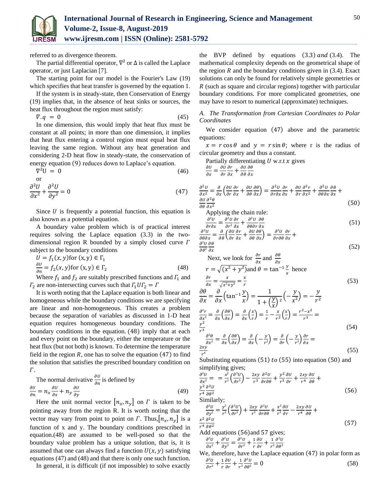

referred to as divergence theorem.

The partial differential operator,  $\nabla^2$  or  $\Delta$  is called the Laplace operator, or just Laplacian [7].

The starting point for our model is the Fourier's Law (19) which specifies that heat transfer is governed by the equation 1.

If the system is in steady-state, then Conservation of Energy (19) implies that, in the absence of heat sinks or sources, the heat flux throughout the region must satisfy:

 $\nabla \cdot q = 0$ (45)

In one dimension, this would imply that heat flux must be constant at all points; in more than one dimension, it implies that heat flux entering a control region must equal heat flux leaving the same region. Without any heat generation and considering 2-D heat flow in steady-state, the conservation of energy equation (9) reduces down to Laplace's equation.

$$
\nabla^2 U = 0 \tag{46}
$$

$$
\frac{\partial^2 U}{\partial x^2} + \frac{\partial^2 U}{\partial y^2} = 0
$$
\n(47)

Since  $U$  is frequently a potential function, this equation is also known as a potential equation.

A boundary value problem which is of practical interest requires solving the Laplace equation (3.3) in the twodimensional region R bounded by a simply closed curve  $\Gamma$ subject to the boundary conditions

$$
U = f_1(x, y) \text{ for } (x, y) \in \Gamma_1
$$
  
\n
$$
\frac{\partial U}{\partial n} = f_2(x, y) \text{ for } (x, y) \in \Gamma_2
$$
\n(48)

Where  $f_1$  and  $f_2$  are suitably prescribed functions and  $\Gamma_1$  and  $\Gamma_2$  are non-intersecting curves such that  $\Gamma_1 U \Gamma_2 = \Gamma$ 

It is worth noting that the Laplace equation is both linear and homogeneous while the boundary conditions we are specifying are linear and non-homogeneous. This creates a problem because the separation of variables as discussed in 1-D heat equation requires homogeneous boundary conditions. The boundary conditions in the equation. (48) imply that at each and every point on the boundary, either the temperature or the heat flux (but not both) is known. To determine the temperature field in the region  $R$ , one has to solve the equation  $(47)$  to find the solution that satisfies the prescribed boundary condition on  $\Gamma$ .

The normal derivative 
$$
\frac{\partial U}{\partial n}
$$
 is defined by  
\n
$$
\frac{\partial U}{\partial n} = n_x \frac{\partial U}{\partial x} + n_y \frac{\partial U}{\partial y}
$$
\n(49)

Here the unit normal vector  $[n_x, n_y]$  on  $\Gamma$  is taken to be pointing away from the region R. It is worth noting that the vector may vary from point to point on  $\Gamma$ . Thus,  $|n_x, n_y|$  is a function of x and y. The boundary conditions prescribed in equation.(48) are assumed to be well-posed so that the boundary value problem has a unique solution, that is, it is assumed that one can always find a function  $U(x, y)$  satisfying equations (47) and (48) and that there is only one such function.

In general, it is difficult (if not impossible) to solve exactly

the BVP defined by equations  $(3.3)$  and  $(3.4)$ . The mathematical complexity depends on the geometrical shape of the region  $R$  and the boundary conditions given in  $(3.4)$ . Exact solutions can only be found for relatively simple geometries or  $R$  (such as square and circular regions) together with particular boundary conditions. For more complicated geometries, one may have to resort to numerical (approximate) techniques.

*A. The Transformation from Cartesian Coordinates to Polar Coordinates*

We consider equation (47) above and the parametric equations:

 $x = r \cos \theta$  and  $y = r \sin \theta$ ; where r is the radius of circular geometry and thus a constant.

Partially differentiating  $U$  w.r.t  $x$  gives

 $\frac{\partial U}{\partial x} = \frac{\partial U}{\partial r}$  $\partial r$  $\frac{\partial r}{\partial x} + \frac{\partial U}{\partial \theta}$  $\partial \theta$  $\partial \theta$  $\partial x$ 

$$
\frac{\partial^2 U}{\partial x^2} = \frac{\partial}{\partial x} \left( \frac{\partial U}{\partial r} \frac{\partial r}{\partial x} + \frac{\partial U}{\partial \theta} \frac{\partial \theta}{\partial x} \right) = \frac{\partial^2 U}{\partial r \partial x} \frac{\partial r}{\partial x} + \frac{\partial U}{\partial r} \frac{\partial^2 r}{\partial x^2} + \frac{\partial^2 U}{\partial \theta \partial x} \frac{\partial \theta}{\partial x} + \frac{\partial U}{\partial \theta} \frac{\partial^2 \theta}{\partial x^2}
$$
(50)

Applying the chain rule:

$$
\frac{\partial^2 U}{\partial r \partial x} = \frac{\partial^2 U}{\partial r^2} \frac{\partial r}{\partial x} + \frac{\partial^2 U}{\partial \theta \partial r} \frac{\partial \theta}{\partial x}
$$
(51)

$$
\frac{\partial^2 U}{\partial \theta \partial x} = \frac{\partial}{\partial \theta} \left( \frac{\partial U}{\partial r} \frac{\partial r}{\partial x} + \frac{\partial U}{\partial \theta} \frac{\partial \theta}{\partial x} \right) = \frac{\partial^2 U}{\partial r \partial \theta} \frac{\partial r}{\partial x} + \frac{\partial^2 U}{\partial \theta^2} \frac{\partial \theta}{\partial x}
$$
(52)

Next, we look for 
$$
\frac{\partial r}{\partial x}
$$
 and  $\frac{\partial \theta}{\partial x}$   
\n
$$
r = \sqrt{(x^2 + y^2)} \text{ and } \theta = \tan^{-1} \frac{y}{x} \text{ hence}
$$
\n
$$
\frac{\partial r}{\partial x} = \frac{x}{\sqrt{x^2 + y^2}} = \frac{x}{r}
$$
\n
$$
\frac{\partial \theta}{\partial x} = \frac{\partial}{\partial x} \left( \tan^{-1} \frac{y}{x} \right) = \frac{1}{1 + \left( \frac{y}{x} \right)^2} \left( -\frac{y}{x^2} \right) = -\frac{y}{r^2}
$$
\n(53)

$$
\frac{\partial^2 r}{\partial x^2} = \frac{\partial}{\partial x} \left( \frac{\partial \theta}{\partial x} \right) = \frac{\partial}{\partial x} \left( \frac{x}{r} \right) = \frac{1}{r} - \frac{x}{r^2} \left( \frac{x}{r} \right) = \frac{r^2 - x^2}{r^3} =
$$
\n
$$
\frac{\partial^2 \theta}{\partial x^2} = \frac{\partial}{\partial x} \left( \frac{\partial \theta}{\partial x} \right) = \frac{\partial}{\partial x} \left( -\frac{y}{r^2} \right) = \frac{\partial}{\partial r} \left( -\frac{y}{r^2} \right) \frac{\partial r}{\partial x} =
$$
\n
$$
\frac{2xy}{r^4}
$$
\n(55)

Substituting equations  $(51)$  to  $(55)$  into equation  $(50)$  and simplifying gives;

$$
\frac{\partial^2 U}{\partial x^2} = \frac{x^2}{r^2} \left( \frac{\partial^2 U}{\partial r^2} \right) - \frac{2xy}{r^3} \frac{\partial^2 U}{\partial r \partial \theta} + \frac{y^2}{r^3} \frac{\partial U}{\partial r} + \frac{2xy}{r^4} \frac{\partial U}{\partial \theta} + \frac{y^2}{r^4} \frac{\partial^2 U}{\partial \theta^2}
$$
(56)

Similarly;

 $\partial$ 

$$
\frac{\partial^2 U}{\partial y^2} = \frac{y^2}{r^2} \left( \frac{\partial^2 U}{\partial r^2} \right) + \frac{2xy}{r^3} \frac{\partial^2 U}{\partial r \partial \theta} + \frac{x^2}{r^3} \frac{\partial U}{\partial r} - \frac{2xy}{r^4} \frac{\partial U}{\partial \theta} + \frac{x^2}{r^4} \frac{\partial^2 U}{\partial \theta^2}
$$
\n
$$
\frac{x^2}{r^4} \frac{\partial^2 U}{\partial \theta^2}
$$
\n(57)

Add equations (56)and 57 gives;  $\frac{\partial^2 U}{\partial x^2} + \frac{\partial^2 U}{\partial y^2} = \frac{\partial^2 U}{\partial r^2} + \frac{1}{r} \frac{\partial U}{\partial r} + \frac{1}{r^2} \frac{\partial^2 U}{\partial \theta^2}$ 

$$
\partial x^2 + \partial y^2 = \partial r^2 + r \partial r + r^2 \partial \theta^2
$$

We, therefore, have the Laplace equation (47) in polar form as  $\partial^2 U$  $\frac{\partial^2 U}{\partial r^2} + \frac{1}{r}$ r  $\frac{\partial U}{\partial r} + \frac{1}{r^2}$  $r^2$  $\partial^2 U$  $\partial \theta^2$  $= 0$  (58)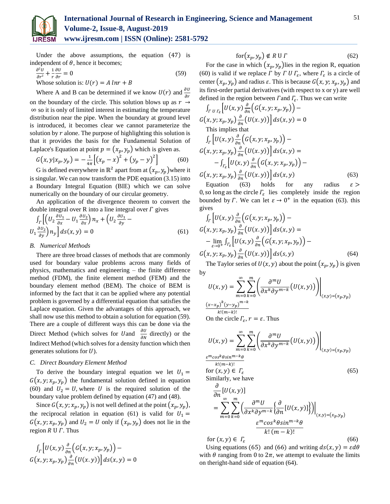

Under the above assumptions, the equation (47) is independent of  $\theta$ , hence it becomes;

$$
\frac{\partial^2 U}{\partial r^2} + \frac{1}{r} \frac{\partial U}{\partial r} = 0
$$
\nWhose solution is:  $U(r) = A \ln r + B$ 

\n
$$
(59)
$$

Where A and B can be determined if we know  $U(r)$  and  $\frac{\partial U}{\partial r}$ 

on the boundary of the circle. This solution blows up as  $r \rightarrow$ ∞ so it is only of limited interest in estimating the temperature distribution near the pipe. When the boundary at ground level is introduced, it becomes clear we cannot parameterize the solution by  $r$  alone. The purpose of highlighting this solution is that it provides the basis for the Fundamental Solution of Laplace's Equation at point  $p = (x_p, y_p)$  which is given as.

$$
G(x, y | x_p, y_p) = -\frac{1}{4\pi} \left[ (x_p - x)^2 + (y_p - y)^2 \right]
$$
 (60)

G is defined everywhere in  $\mathbb{R}^2$  apart from at  $(x_p, y_p)$  where it is singular. We can now transform the PDE equation (3.15) into a Boundary Integral Equation (BIE) which we can solve numerically on the boundary of our circular geometry.

An application of the divergence theorem to convert the double integral over R into a line integral over  $\Gamma$  gives

$$
\int_{\Gamma} \left[ \left( U_2 \frac{\partial u_1}{\partial x} - U_1 \frac{\partial u_2}{\partial x} \right) n_x + \left( U_2 \frac{\partial u_1}{\partial y} - U_1 \frac{\partial u_2}{\partial y} \right) n_y \right] ds(x, y) = 0 \tag{61}
$$

## *B. Numerical Methods*

There are three broad classes of methods that are commonly used for boundary value problems across many fields of physics, mathematics and engineering – the finite difference method (FDM), the finite element method (FEM) and the boundary element method (BEM). The choice of BEM is informed by the fact that it can be applied where any potential problem is governed by a differential equation that satisfies the Laplace equation. Given the advantages of this approach, we shall now use this method to obtain a solution for equation (59). There are a couple of different ways this can be done via the Direct Method (which solves for *U* and  $\frac{\partial U}{\partial N}$  directly) or the Indirect Method (which solves for a density function which then generates solutions for  $U$ ).

#### *C. Direct Boundary Element Method*

To derive the boundary integral equation we let  $U_1$  =  $G(x, y; x_p, y_p)$  the fundamental solution defined in equation (60) and  $U_2 = U$ , where U is the required solution of the boundary value problem defined by equation (47) and (48).

Since  $G(x, y; x_p, y_p)$  is not well defined at the point  $(x_p, y_p)$ , the reciprocal relation in equation (61) is valid for  $U_1 =$  $G(x, y; x_p, y_p)$  and  $U_2 = U$  only if  $(x_p, y_p)$  does not lie in the region  $R \cup \Gamma$ . Thus

$$
\int_{\Gamma} \left[ U(x, y) \frac{\partial}{\partial n} \left( G(x, y; x_p, y_p) \right) - \\ G(x, y; x_p, y_p) \frac{\partial}{\partial n} \left( U(x, y) \right) \right] ds(x, y) = 0
$$

$$
for (x_p, y_p) \notin R \cup \Gamma
$$
 (62)

For the case in which  $(x_p, y_p)$  lies in the region R, equation (60) is valid if we replace  $\Gamma$  by  $\Gamma$   $\Gamma$   $\Gamma_{\varepsilon}$ , where  $\Gamma_{\varepsilon}$  is a circle of center  $(x_p, y_p)$  and radius  $\varepsilon$ . This is because  $G(x, y; x_p, y_p)$  and its first-order partial derivatives (with respect to x or y) are well defined in the region between  $\Gamma$  and  $\Gamma_{\varepsilon}$ . Thus we can write

$$
\int_{\Gamma} U_{\Gamma_E} \left[ U(x, y) \frac{\partial}{\partial n} \left( G(x, y; x_p, y_p) \right) - G(x, y; x_p, y_p) \frac{\partial}{\partial n} \left( U(x, y) \right) \right] ds(x, y) = 0
$$
\nThis implies that\n
$$
\int_{\Gamma} \left[ U(x, y) \frac{\partial}{\partial n} \left( G(x, y; x_p, y_p) \right) - G(x, y; x_p, y_p) \frac{\partial}{\partial n} \left( U(x, y) \right) \right] ds(x, y) =
$$
\n
$$
- \int_{\Gamma_E} \left[ U(x, y) \frac{\partial}{\partial n} \left( G(x, y; x_p, y_p) \right) - G(x, y; x_p, y_p) \frac{\partial}{\partial n} \left( U(x, y) \right) \right] ds(x, y) \tag{63}
$$

Equation (63) holds for any radius  $\varepsilon$ 0, so long as the circle  $\Gamma_{\varepsilon}$  lies completely inside the region bounded by  $\Gamma$ . We can let  $\varepsilon \to 0^+$  in the equation (63). this gives

$$
\int_{\Gamma} \left[ U(x, y) \frac{\partial}{\partial n} \left( G(x, y; x_p, y_p) \right) - G(x, y; x_p, y_p) \frac{\partial}{\partial n} \left( U(x, y) \right) \right] ds(x, y) =
$$
\n
$$
- \lim_{\varepsilon \to 0^+} \int_{\Gamma_{\varepsilon}} \left[ U(x, y) \frac{\partial}{\partial n} \left( G(x, y; x_p, y_p) \right) - G(x, y; x_p, y_p) \frac{\partial}{\partial n} \left( U(x, y) \right) \right] ds(s, y) \tag{64}
$$

The Taylor series of  $U(x, y)$  about the point  $(x_p, y_p)$  is given by

$$
U(x, y) = \sum_{m=0}^{\infty} \sum_{k=0}^{m} \left( \frac{\partial^m U}{\partial x^k \partial y^{m-k}} \left( U(x, y) \right) \right) \Big|_{(x, y) = (x_p, y_p)}
$$
  

$$
\frac{(x - x_p)^k (y - y_p)^{m-k}}{k! (m-k)!}
$$
  
On the circle  $\Gamma_{\varepsilon}$ ,  $r = \varepsilon$ . Thus

$$
U(x, y) = \sum_{m=0}^{\infty} \sum_{k=0}^{m} \left( \frac{\partial^{m} U}{\partial x^{k} \partial y^{m-k}} \left( U(x, y) \right) \right) \Big|_{(x, y) = (x_{p}, y_{p})}
$$
  

$$
\frac{\varepsilon^{m} \cos^{k} \theta \sin^{m-k} \theta}{k! (m-k)!}
$$
  
for  $(x, y) \in \Gamma_{\varepsilon}$  (65)  
Similarly, we have

 $\overline{a}$ 

$$
\frac{\partial}{\partial n} [U(x, y)]
$$
\n
$$
= \sum_{m=0}^{\infty} \sum_{k=0}^{m} \left( \frac{\partial^m U}{\partial x^k \partial y^{m-k}} \left\{ \frac{\partial}{\partial n} [U(x, y)] \right\} \right) \Big|_{(x, y) = (x_p, y_p)}
$$
\n
$$
\frac{\varepsilon^m \cos^k \theta \sin^{m-k} \theta}{k! (m-k)!}
$$
\nfor  $(x, y) \in \Gamma_{\varepsilon}$  (66)

Using equations (65) and (66) and writing  $ds(x, y) = \varepsilon d\theta$ with  $\theta$  ranging from 0 to  $2\pi$ , we attempt to evaluate the limits on theright-hand side of equation (64).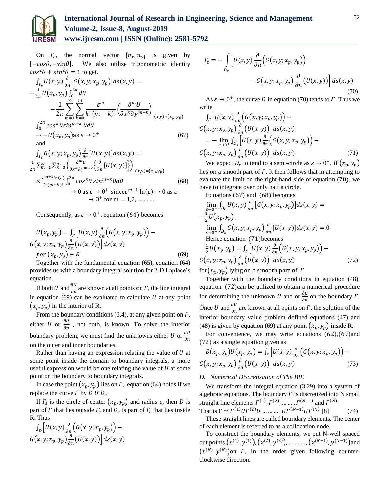

On  $\Gamma_{\varepsilon}$ , the normal vector  $[n_x, n_y]$  is given by  $[-cos\theta, -sin\theta]$ . We also utilize trigonometric identity  $cos^2\theta + sin^2\theta = 1$  to get.

$$
\int_{\Gamma_{\varepsilon}} U(x, y) \frac{\partial}{\partial n} \left[ G(x, y; x_{p}, y_{p}) \right] ds(x, y) =
$$
\n
$$
- \frac{1}{2\pi} U(x_{p}, y_{p}) \int_{0}^{2\pi} d\theta
$$
\n
$$
- \frac{1}{2\pi} \sum_{m=1}^{\infty} \sum_{k=0}^{m} \frac{\varepsilon^{m}}{k! (m-k)!} \left( \frac{\partial^{m} U}{\partial x^{k} \partial y^{m-k}} \right) \Big|_{(x, y) = (x_{p}, y_{p})}
$$
\n
$$
\int_{0}^{2\pi} \cos^{k} \theta \sin^{m-k} \theta d\theta
$$
\n
$$
\to -U(x_{p}, y_{p}) \text{ as } \varepsilon \to 0^{+}
$$
\nand\n
$$
\int_{\Gamma_{\varepsilon}} G(x, y; x_{p}, y_{p}) \frac{\partial}{\partial n} \left[ U(x, y) \right] ds(x, y) =
$$
\n
$$
\frac{1}{2\pi} \sum_{m=1}^{\infty} \sum_{k=0}^{m} \left( \frac{\partial^{m} U}{\partial x^{k} \partial y^{m-k}} \left\{ \frac{\partial}{\partial n} \left[ U(x, y) \right] \right\} \right) \Big|_{(x, y) = (x_{p}, y_{p})}
$$
\n
$$
\times \frac{\varepsilon^{m+1} \ln(\varepsilon)}{k! (m-k)!} \int_{0}^{2\pi} \cos^{k} \theta \sin^{m-k} \theta d\theta \qquad (68)
$$
\n
$$
\to 0 \text{ as } \varepsilon \to 0^{+} \text{ since } \varepsilon^{m+1} \ln(\varepsilon) \to 0 \text{ as } \varepsilon
$$
\n
$$
\to 0^{+} \text{ for } m = 1, 2, \dots \dots
$$

Consequently, as  $\varepsilon \to 0^+$ , equation (64) becomes

$$
U(x_p, y_p) = \int_{\Gamma} \left[ U(x, y) \frac{\partial}{\partial n} \left( G(x, y; x_p, y_p) \right) - G(x, y; x_p, y_p) \frac{\partial}{\partial n} \left( U(x, y) \right) \right] ds(x, y)
$$
  
for  $(x_p, y_p) \in R$  (69)

Together with the fundamental equation (65), equation (64) provides us with a boundary integral solution for 2-D Laplace's equation.

If both U and  $\frac{\partial U}{\partial n}$  are known at all points on  $\Gamma$ , the line integral in equation  $(69)$  can be evaluated to calculate  $U$  at any point  $(x_p, y_p)$  in the interior of R.

From the boundary conditions (3.4), at any given point on  $\Gamma$ , either U or  $\frac{\partial U}{\partial n}$ , not both, is known. To solve the interior boundary problem, we must find the unknowns either *U* or  $\frac{\partial U}{\partial x}$ дп on the outer and inner boundaries.

Rather than having an expression relating the value of  $U$  at some point inside the domain to boundary integrals, a more useful expression would be one relating the value of  $U$  at some point on the boundary to boundary integrals.

In case the point  $(x_p, y_p)$  lies on  $\Gamma$ , equation (64) holds if we replace the curve  $\Gamma$  by  $D$   $U D_{\varepsilon}$ 

If  $\Gamma_{\varepsilon}$  is the circle of center  $(x_p, y_p)$  and radius  $\varepsilon$ , then D is part of  $\Gamma$  that lies outside  $\Gamma_{\varepsilon}$  and  $D_{\varepsilon}$  is part of  $\Gamma_{\varepsilon}$  that lies inside R. Thus

$$
\int_{D} \left[ U(x, y) \frac{\partial}{\partial n} \left( G(x, y; x_p, y_p) \right) - \\ G(x, y; x_p, y_p) \frac{\partial}{\partial n} \left( U(x, y) \right) \right] ds(x, y)
$$

$$
\Gamma_{\varepsilon} = -\int_{D_{\varepsilon}} \left[ U(x, y) \frac{\partial}{\partial n} \Big( G(x, y; x_p, y_p) \Big) - G(x, y; x_p, y_p) \frac{\partial}{\partial n} \Big( U(x, y) \Big) \right] ds(x, y) \tag{70}
$$

As  $\varepsilon \to 0^+$ , the curve D in equation (70) tends to  $\Gamma$ . Thus we write

$$
\int_{\Gamma} \left[ U(x, y) \frac{\partial}{\partial n} \left( G(x, y; x_p, y_p) \right) - G(x, y; x_p, y_p) \frac{\partial}{\partial n} \left( U(x, y) \right) \right] ds(x, y) \n= - \lim_{\varepsilon \to 0^+} \int_{D_{\varepsilon}} \left[ U(x, y) \frac{\partial}{\partial n} \left( G(x, y; x_p, y_p) \right) - G(x, y; x_p, y_p) \frac{\partial}{\partial n} \left( U(x, y) \right) \right] ds(x, y)
$$
\n(71)

We expect  $D_{\varepsilon}$  to tend to a semi-circle as  $\varepsilon \to 0^+$ , if  $(x_p, y_p)$ lies on a smooth part of  $\Gamma$ . It then follows that in attempting to evaluate the limit on the right-hand side of equation (70), we have to integrate over only half a circle.

Equations (67) and (68) becomes

$$
\lim_{\varepsilon \to 0^+} \int_{D_{\varepsilon}} U(x, y) \frac{\partial}{\partial n} \left[ G(x, y; x_p, y_p) \right] ds(x, y) =
$$
\n
$$
- \frac{1}{2} U(x_p, y_p),
$$
\n
$$
\lim_{\varepsilon \to 0^+} \int_{D_{\varepsilon}} G(x, y; x_p, y_p) \frac{\partial}{\partial n} \left[ U(x, y) \right] ds(x, y) = 0
$$
\nHence equation (71) becomes\n
$$
\frac{1}{2} U(x_p, y_p) = \int_{\Gamma} \left[ U(x, y) \frac{\partial}{\partial n} \left( G(x, y; x_p, y_p) \right) - G(x, y; x_p, y_p) \frac{\partial}{\partial n} \left( U(x, y) \right) \right] ds(x, y) \tag{72}
$$

for( $x_p, y_p$ ) lying on a smooth part of 1

Together with the boundary conditions in equation (48), equation (72)can be utilized to obtain a numerical procedure for determining the unknown U and or  $\frac{\partial U}{\partial n}$  on the boundary  $\Gamma$ . Once *U* and  $\frac{\partial U}{\partial n}$  are known at all points on *Γ*, the solution of the interior boundary value problem defined equations (47) and (48) is given by equation (69) at any point  $(x_p, y_p)$  inside R.

For convenience, we may write equations  $(62)$ ,  $(69)$  and (72) as a single equation given as

$$
\beta(x_p, y_p)U(x_p, y_p) = \int_{\Gamma} \left[ U(x, y) \frac{\partial}{\partial n} \left( G(x, y; x_p, y_p) \right) - G(x, y; x_p, y_p) \frac{\partial}{\partial n} \left( U(x, y) \right) \right] ds(x, y)
$$
\n(73)

#### *D. Numerical Discretization of The BIE*

We transform the integral equation (3.29) into a system of algebraic equations. The boundary  $\Gamma$  is discretized into N small straight line elements  $\Gamma^{(1)}, \Gamma^{(2)}, \dots \dots, \Gamma^{(N-1)}$  and  $\Gamma^{(N)}$ 

That is  $\Gamma \simeq \Gamma^{(1)} U \Gamma^{(2)} U \dots \dots \dots U \Gamma^{(N-1)} U \Gamma^{(N)}$  $(74)$ These straight lines are called boundary elements. The center of each element is referred to as a collocation node.

To construct the boundary elements, we put N-well spaced out points  $(x^{(1)}, y^{(1)}), (x^{(2)}, y^{(2)}), \dots \dots \dots, (x^{(N-1)}, y^{(N-1)})$  and  $(x^{(N)}, y^{(N)})$ on  $\Gamma$ , in the order given following counterclockwise direction.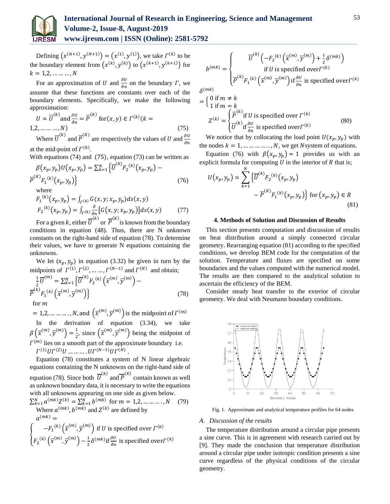

Defining  $(x^{(N+1)}, y^{(N+1)}) = (x^{(1)}, y^{(1)})$ , we take  $\Gamma^{(k)}$  to be the boundary element from  $(x^{(k)}, y^{(k)})$  to  $(x^{(k+1)}, y^{(k+1)})$  for  $k = 1, 2, ..., ..., N$ 

For an approximation of U and  $\frac{\partial U}{\partial n}$  on the boundary  $\Gamma$ , we assume that these functions are constants over each of the boundary elements. Specifically, we make the following approximation:

$$
U \simeq \overline{U}^{(k)} \text{ and } \frac{\partial U}{\partial n} = \overline{P}^{(K)} \text{ for } (x, y) \in \Gamma^{(k)}(k = 1, 2, \dots, N)
$$
\n(75)  
\nWhere  $\overline{U}^{(k)} \text{ and } \overline{P}^{(K)}$  are respectively the values of  $U$  and  $\frac{\partial U}{\partial n}$ 

where *U* and *r* are respectively the values of U and  $\frac{\partial U}{\partial n}$ at the mid-point of  $\Gamma^{(k)}$ .

With equations (74) and (75), equation (73) can be written as

$$
\beta(x_p, y_p)U(x_p, y_p) = \sum_{k=1}^{N} {\overline{U}}^{(k)} F_2^{(k)}(x_p, y_p) -
$$
  
\n
$$
\overline{P}^{(K)} F_1^{(k)}(x_p, y_p)
$$
  
\nwhere  
\n
$$
F_1^{(k)}(x_p, y_p) = \int_{\Gamma^{(k)}} G(x, y; x_p, y_p) ds(x, y)
$$
  
\n
$$
F_2^{(k)}(x_p, y_p) = \int_{\Gamma^{(k)}} \frac{\partial}{\partial n} [G(x, y; x_p, y_p)] ds(x, y)
$$
 (77)

For a given k, either  $\overline{U}^{(k)}$  or  $\overline{P}^{(K)}$  is known from the boundary conditions in equation (48). Thus, there are N unknown constants on the right-hand side of equation (78). To determine their values, we have to generate N equations containing the

unknowns. We let  $(x_p, y_p)$  in equation (3.32) be given in turn by the midpoints of  $\Gamma^{(1)}, \Gamma^{(2)}, \dots, \Gamma^{(N-1)}$  and  $\Gamma^{(N)}$  and obtain;

$$
\frac{1}{2}\overline{U}^{(m)} = \sum_{k=1}^{N} \left\{ \overline{U}^{(k)} F_2^{(k)} \left( \overline{x}^{(m)}, \overline{y}^{(m)} \right) - \overline{P}^{(k)} F_1^{(k)} \left( \overline{x}^{(m)}, \overline{y}^{(m)} \right) \right\}
$$
\nfor  $m$  (78)

= 1,2, ... ... ... , N, and  $\left(\overline{x}^{(m)}, \overline{y}^{(m)}\right)$  is the midpoint of  $\Gamma^{(m)}$ In the derivation of equation (3.34), we take  $\beta\left(\overline{x}^{(m)}, \overline{y}^{(m)}\right) = \frac{1}{2}$  $\frac{1}{2}$ , since  $(\overline{x}^{(m)}, \overline{y}^{(m)})$  being the midpoint of  $\Gamma^{(m)}$  lies on a smooth part of the approximate boundary i.e.  $\Gamma^{(1)} U \Gamma^{(2)} U \dots \dots \dots U \Gamma^{(N-1)} U \Gamma^{(N)}$ .

Equation (78) constitutes a system of N linear algebraic equations containing the N unknowns on the right-hand side of equation (78). Since both  $\overline{U}^{(k)}$  and  $\overline{P}^{(K)}$  contain known as well as unknown boundary data, it is necessary to write the equations with all unknowns appearing on one side as given below.

$$
\sum_{k=1}^{N} a^{(mk)} Z^{(k)} = \sum_{k=1}^{N} b^{(mk)}
$$
 for  $m = 1, 2, \dots, N$  (79)  
Where  $a^{(mk)}$ ,  $b^{(mk)}$  and  $Z^{(k)}$  are defined by  

$$
a^{(mk)} =
$$

$$
\begin{pmatrix} -F_1^{(k)} \left(\overline{x}^{(m)}, \overline{y}^{(m)}\right) \text{ if } U \text{ is specified over } \Gamma^{(k)}
$$

$$
\begin{cases}\n\tau_1(\mathbf{x}^m, \mathbf{y}^m) & \text{if } \mathbf{x} \text{ is specified over } \mathbf{y} \\
F_2^{(k)}(\overline{\mathbf{x}}^{(m)}, \overline{\mathbf{y}}^{(m)}) - \frac{1}{2} \delta^{(mk)} \text{if } \frac{\partial U}{\partial n} \text{ is specified over } \Gamma^{(k)}\n\end{cases}
$$

$$
b^{(mk)} = \begin{cases} \overline{U}^{(k)}\left(-F_2^{(k)}\left(\overline{x}^{(m)}, \overline{y}^{(m)}\right) + \frac{1}{2}\delta^{(mk)}\right) \\ \text{if } U \text{ is specified over } \Gamma^{(k)} \\ \overline{P}^{(k)}F_1^{(k)}\left(\overline{x}^{(m)}, \overline{y}^{(m)}\right) \text{if } \frac{\partial U}{\partial n} \text{ is specified over } \Gamma^{(k)} \end{cases}
$$
  
\n(*m*<sub>k</sub>)

 $\delta$ 

$$
= \begin{cases} 0 \text{ if } m \neq k \\ 1 \text{ if } m = k \end{cases}
$$
  

$$
Z^{(k)} = \begin{cases} \overline{P}^{(k)} \text{ if } U \text{ is specified over } \Gamma^{(k)} \\ \overline{U}^{(k)} \text{ if } \frac{\partial U}{\partial n} \text{ is specified over } \Gamma^{(k)} \end{cases}
$$
(80)

We notice that by collocating the load point  $U(x_p, y_p)$  with the nodes  $k = 1, \dots, m, \dots, N$ , we get Nsystem of equations.

Equation (76) with  $\beta(x_n, y_n) = 1$  provides us with an explicit formula for computing  $U$  in the interior of  $R$  that is;

$$
U(x_p, y_p) \simeq \sum_{k=1}^{N} \left\{ \overline{U}^{(k)} F_2^{(k)}(x_p, y_p) - \overline{P}^{(K)} F_1^{(k)}(x_p, y_p) \right\} \text{ for } (x_p, y_p) \in R
$$
\n(81)

#### **4. Methods of Solution and Discussion of Results**

This section presents computation and discussion of results on heat distribution around a simply connected circular geometry. Rearranging equation (81) according to the specified conditions, we develop BEM code for the computation of the solution. Temperature and fluxes are specified on some boundaries and the values computed with the numerical model. The results are then compared to the analytical solution to ascertain the efficiency of the BEM.

Consider steady heat transfer to the exterior of circular geometry. We deal with Neumann boundary conditions.



Fig. 1. Approximate and analytical temperature profiles for 64 nodes

#### *A. Discussion of the results*

The temperature distribution around a circular pipe presents a sine curve. This is in agreement with research carried out by [9]. They made the conclusion that temperature distribution around a circular pipe under isotropic condition presents a sine curve regardless of the physical conditions of the circular geometry.